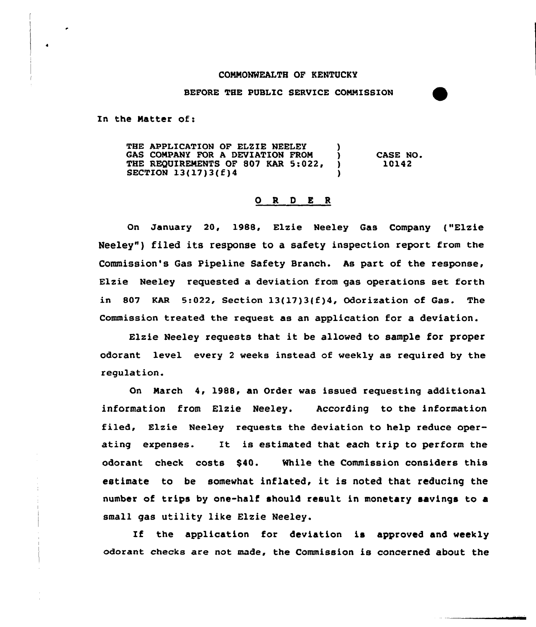## COMMONWEALTH OF KENTUCKY

## BEFORE THE PUBLIC SERVICE CONMISSION

In the Natter of:

THE APPLICATION OF ELZIE NEELEY (1)<br>GAS COMPANY FOR A DEVIATION FROM (1) GAS COMPANY FOR A DEVIATION FROM  $\left( \begin{array}{cc} 1 & 0 \\ 0 & 0 \end{array} \right)$  THE REOUIREMENTS OF 807 KAR 5:022. THE REQUIREMENTS OF 807 KAR 5:022, )<br>SECTION 13(17)3(f)4 SECTION 13(17)3(f)4 ) CASE NO. 10142

## 0 <sup>R</sup> <sup>D</sup> E <sup>R</sup>

On January 20, 1988, Elzie Neeley Gas Company {"Elzie Neeley") filed its response to a safety inspection report from the Commission's Gas Pipeline Safety Branch. As part of the response, Elzie Neeley requested a deviation from gas operations set forth in 807 KAR 5:022, Section  $13(17)3(f)4$ , Odorization of Gas. The Commission treated the request as an application for a deviation.

Elzie Neeley requests that it be allowed to sample for proper odorant level every <sup>2</sup> weeks instead of weekly as required by the regulation.

On Narch 4, 1988, an Order was issued requesting additional information from Elzie Neeley. According to the information filed, Elzie Neeley requests the deviation to help reduce operating expenses. It is estimated that each trip to perform the odorant check costs \$40. While the Commission considers this estimate to be somewhat inflated, it is noted that reducing the number of trips by one-half should result in monetary savings to a small gas utility like Elzie Neeley.

If the application for deviation is approved and weekly odorant checks are not made, the Commission is concerned about the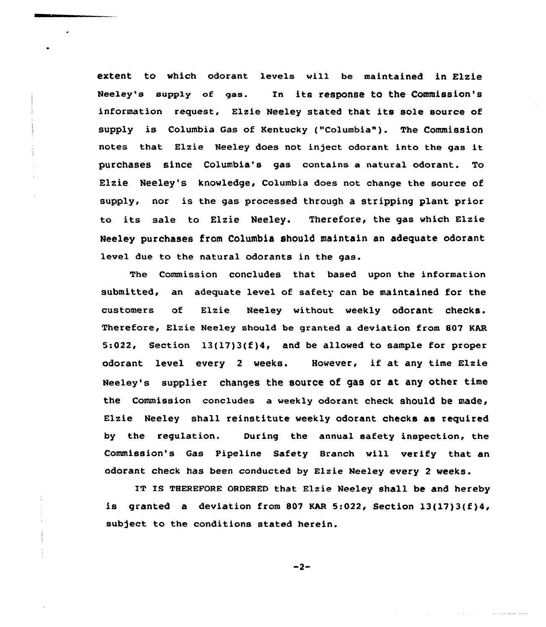extent to which odorant levels will be maintained in Elzie Neeley's supply of gas. In its response to the Commission's information request, Elzie Neeley stated that its sole source of supply is Columbia Gas of Kentucky ("Columbia"). The Commission notes that Elzie Neeley does not inject odorant into the gas it purchases since Columbia's gas contains a natural odorant. To Elzie Neeley's knowledge, Columbia does not change the source of supply, nor is the gas processed through a stripping plant prior to its sale to Elzie Neeley. Therefore, the gas which Elzie Neeley purchases from Columbia should maintain an adequate odorant level due to the natural odorants in the gas.

The Commission concludes that based upon the information submitted, an adequate level of safety can be maintained for the customers of Elzie Neeley without weekly odorant checks. Therefore, Elzie Neeley should be granted a deviation from 807 KAR 5:022, Section 13(17)3(f)4, and be allowed to sample for proper odorant level every <sup>2</sup> weeks. However, if at any time Elzie Neeley's supplier changes the source of gas or at any other time the Commission concludes a weekly odorant check should be made, Elzie Neeley shall reinstitute weekly odorant checks as required by the regulation. During the annual safety inspection, the Commission's Gas Pipeline Safety Branch will verify that an odorant check has been conducted by Elzie Neeley every 2 weeks.

IT IS THEREFORE ORDERED that Elzie Neeley shall be and hereby is granted a deviation from 807 KAR 5:022, Section  $13(17)3(f)4$ , subject to the conditions stated herein.

 $-2-$